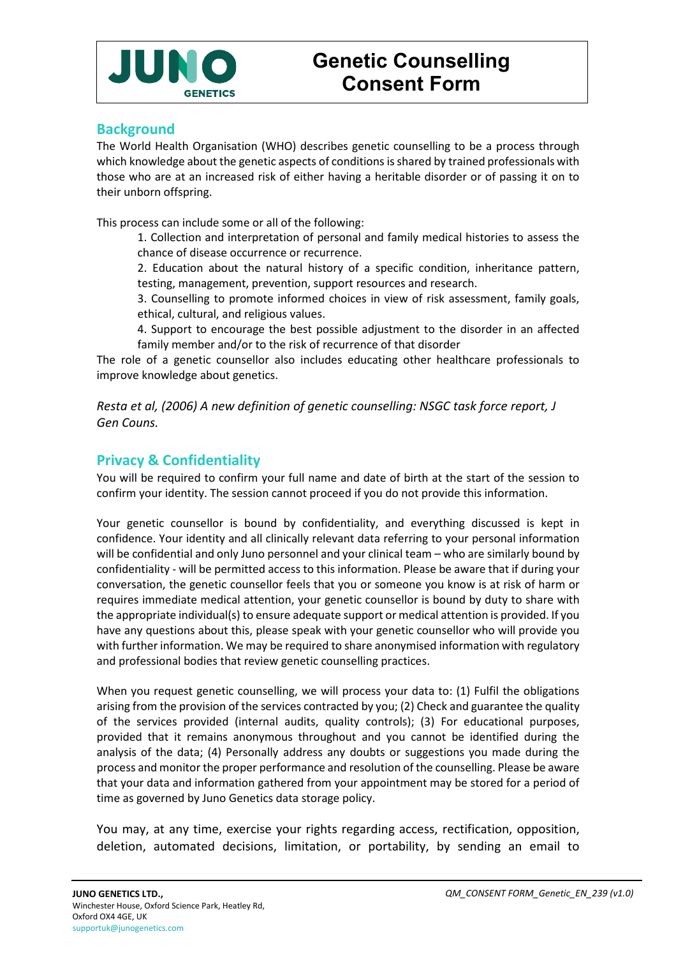

### **Background**

The World Health Organisation (WHO) describes genetic counselling to be a process through which knowledge about the genetic aspects of conditions is shared by trained professionals with those who are at an increased risk of either having a heritable disorder or of passing it on to their unborn offspring.

This process can include some or all of the following:

1. Collection and interpretation of personal and family medical histories to assess the chance of disease occurrence or recurrence.

2. Education about the natural history of a specific condition, inheritance pattern, testing, management, prevention, support resources and research.

3. Counselling to promote informed choices in view of risk assessment, family goals, ethical, cultural, and religious values.

4. Support to encourage the best possible adjustment to the disorder in an affected family member and/or to the risk of recurrence of that disorder

The role of a genetic counsellor also includes educating other healthcare professionals to improve knowledge about genetics.

*Resta et al, (2006) A new definition of genetic counselling: NSGC task force report, J Gen Couns.*

# **Privacy & Confidentiality**

You will be required to confirm your full name and date of birth at the start of the session to confirm your identity. The session cannot proceed if you do not provide this information.

Your genetic counsellor is bound by confidentiality, and everything discussed is kept in confidence. Your identity and all clinically relevant data referring to your personal information will be confidential and only Juno personnel and your clinical team – who are similarly bound by confidentiality - will be permitted access to this information. Please be aware that if during your conversation, the genetic counsellor feels that you or someone you know is at risk of harm or requires immediate medical attention, your genetic counsellor is bound by duty to share with the appropriate individual(s) to ensure adequate support or medical attention is provided. If you have any questions about this, please speak with your genetic counsellor who will provide you with further information. We may be required to share anonymised information with regulatory and professional bodies that review genetic counselling practices.

When you request genetic counselling, we will process your data to: (1) Fulfil the obligations arising from the provision of the services contracted by you; (2) Check and guarantee the quality of the services provided (internal audits, quality controls); (3) For educational purposes, provided that it remains anonymous throughout and you cannot be identified during the analysis of the data; (4) Personally address any doubts or suggestions you made during the process and monitor the proper performance and resolution of the counselling. Please be aware that your data and information gathered from your appointment may be stored for a period of time as governed by Juno Genetics data storage policy.

You may, at any time, exercise your rights regarding access, rectification, opposition, deletion, automated decisions, limitation, or portability, by sending an email to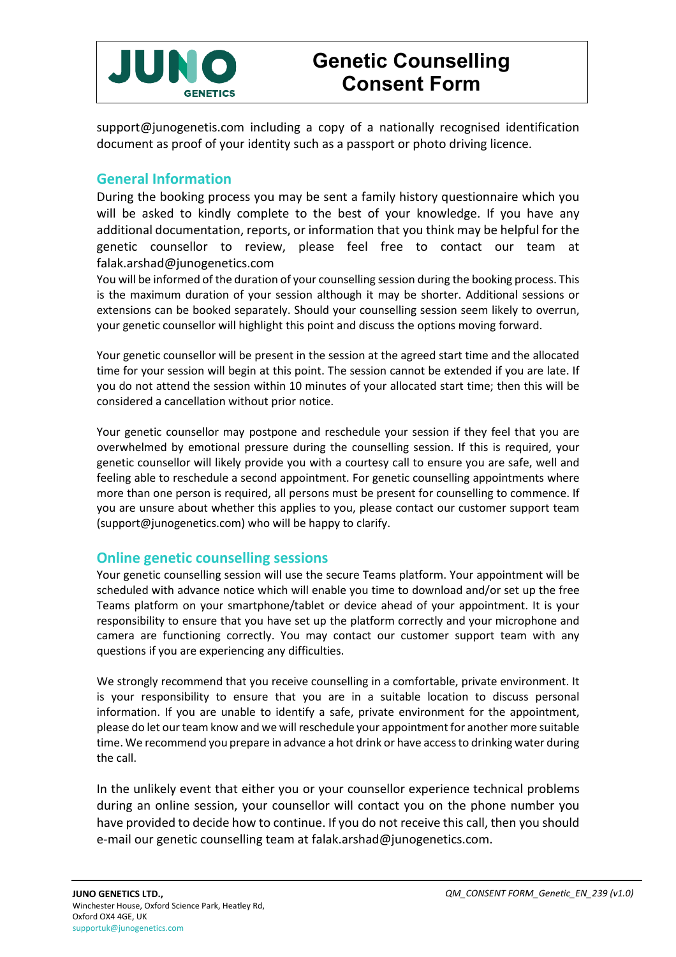

support@junogenetis.com including a copy of a nationally recognised identification document as proof of your identity such as a passport or photo driving licence.

### **General Information**

During the booking process you may be sent a family history questionnaire which you will be asked to kindly complete to the best of your knowledge. If you have any additional documentation, reports, or information that you think may be helpful for the genetic counsellor to review, please feel free to contact our team at falak.arshad@junogenetics.com

You will be informed of the duration of your counselling session during the booking process. This is the maximum duration of your session although it may be shorter. Additional sessions or extensions can be booked separately. Should your counselling session seem likely to overrun, your genetic counsellor will highlight this point and discuss the options moving forward.

Your genetic counsellor will be present in the session at the agreed start time and the allocated time for your session will begin at this point. The session cannot be extended if you are late. If you do not attend the session within 10 minutes of your allocated start time; then this will be considered a cancellation without prior notice.

Your genetic counsellor may postpone and reschedule your session if they feel that you are overwhelmed by emotional pressure during the counselling session. If this is required, your genetic counsellor will likely provide you with a courtesy call to ensure you are safe, well and feeling able to reschedule a second appointment. For genetic counselling appointments where more than one person is required, all persons must be present for counselling to commence. If you are unsure about whether this applies to you, please contact our customer support team (support@junogenetics.com) who will be happy to clarify.

### **Online genetic counselling sessions**

Your genetic counselling session will use the secure Teams platform. Your appointment will be scheduled with advance notice which will enable you time to download and/or set up the free Teams platform on your smartphone/tablet or device ahead of your appointment. It is your responsibility to ensure that you have set up the platform correctly and your microphone and camera are functioning correctly. You may contact our customer support team with any questions if you are experiencing any difficulties.

We strongly recommend that you receive counselling in a comfortable, private environment. It is your responsibility to ensure that you are in a suitable location to discuss personal information. If you are unable to identify a safe, private environment for the appointment, please do let our team know and we will reschedule your appointment for another more suitable time. We recommend you prepare in advance a hot drink or have access to drinking water during the call.

In the unlikely event that either you or your counsellor experience technical problems during an online session, your counsellor will contact you on the phone number you have provided to decide how to continue. If you do not receive this call, then you should e-mail our genetic counselling team at falak.arshad@junogenetics.com.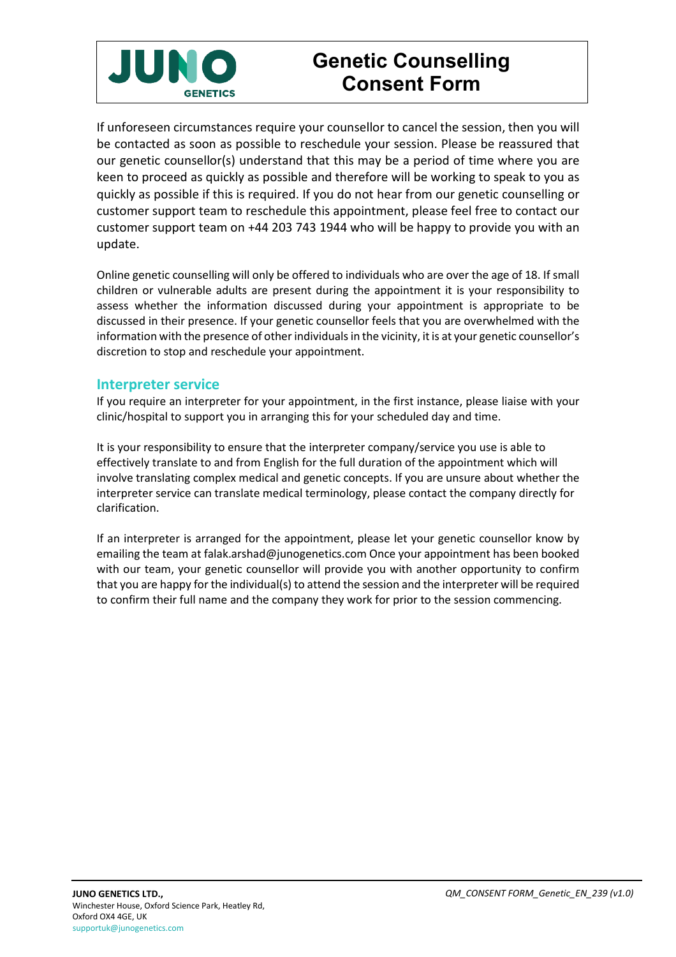

# **Genetic Counselling Consent Form**

If unforeseen circumstances require your counsellor to cancel the session, then you will be contacted as soon as possible to reschedule your session. Please be reassured that our genetic counsellor(s) understand that this may be a period of time where you are keen to proceed as quickly as possible and therefore will be working to speak to you as quickly as possible if this is required. If you do not hear from our genetic counselling or customer support team to reschedule this appointment, please feel free to contact our customer support team on +44 203 743 1944 who will be happy to provide you with an update.

Online genetic counselling will only be offered to individuals who are over the age of 18. If small children or vulnerable adults are present during the appointment it is your responsibility to assess whether the information discussed during your appointment is appropriate to be discussed in their presence. If your genetic counsellor feels that you are overwhelmed with the information with the presence of other individuals in the vicinity, it is at your genetic counsellor's discretion to stop and reschedule your appointment.

#### **Interpreter service**

If you require an interpreter for your appointment, in the first instance, please liaise with your clinic/hospital to support you in arranging this for your scheduled day and time.

It is your responsibility to ensure that the interpreter company/service you use is able to effectively translate to and from English for the full duration of the appointment which will involve translating complex medical and genetic concepts. If you are unsure about whether the interpreter service can translate medical terminology, please contact the company directly for clarification.

If an interpreter is arranged for the appointment, please let your genetic counsellor know by emailing the team at falak.arshad@junogenetics.com Once your appointment has been booked with our team, your genetic counsellor will provide you with another opportunity to confirm that you are happy for the individual(s) to attend the session and the interpreter will be required to confirm their full name and the company they work for prior to the session commencing.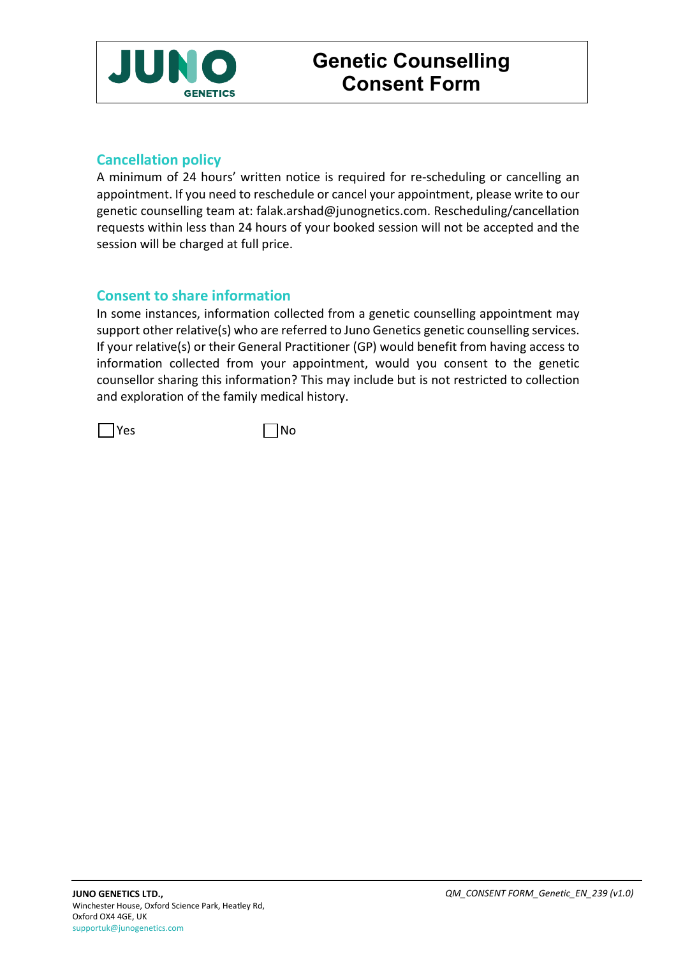

# **Cancellation policy**

A minimum of 24 hours' written notice is required for re-scheduling or cancelling an appointment. If you need to reschedule or cancel your appointment, please write to our genetic counselling team at: falak.arshad@junognetics.com. Rescheduling/cancellation requests within less than 24 hours of your booked session will not be accepted and the session will be charged at full price.

# **Consent to share information**

In some instances, information collected from a genetic counselling appointment may support other relative(s) who are referred to Juno Genetics genetic counselling services. If your relative(s) or their General Practitioner (GP) would benefit from having access to information collected from your appointment, would you consent to the genetic counsellor sharing this information? This may include but is not restricted to collection and exploration of the family medical history.

 $\Box$  Yes  $\Box$  No